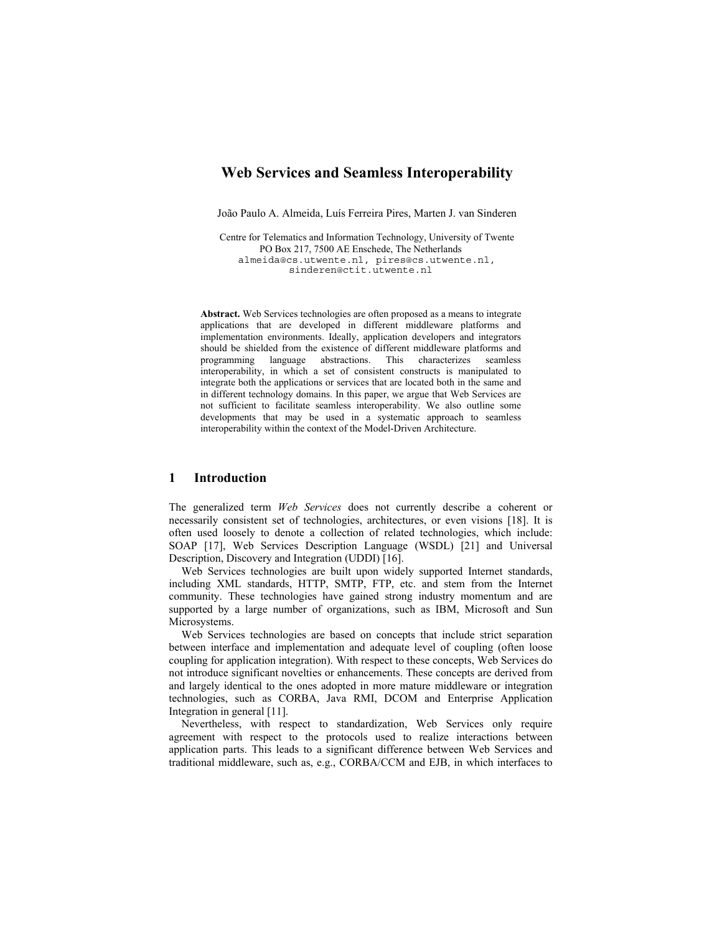# **Web Services and Seamless Interoperability**

João Paulo A. Almeida, Luís Ferreira Pires, Marten J. van Sinderen

Centre for Telematics and Information Technology, University of Twente PO Box 217, 7500 AE Enschede, The Netherlands almeida@cs.utwente.nl, pires@cs.utwente.nl, sinderen@ctit.utwente.nl

**Abstract.** Web Services technologies are often proposed as a means to integrate applications that are developed in different middleware platforms and implementation environments. Ideally, application developers and integrators should be shielded from the existence of different middleware platforms and programming language abstractions. This characterizes seamless interoperability, in which a set of consistent constructs is manipulated to integrate both the applications or services that are located both in the same and in different technology domains. In this paper, we argue that Web Services are not sufficient to facilitate seamless interoperability. We also outline some developments that may be used in a systematic approach to seamless interoperability within the context of the Model-Driven Architecture.

# **1 Introduction**

The generalized term *Web Services* does not currently describe a coherent or necessarily consistent set of technologies, architectures, or even visions [18]. It is often used loosely to denote a collection of related technologies, which include: SOAP [17], Web Services Description Language (WSDL) [21] and Universal Description, Discovery and Integration (UDDI) [16].

Web Services technologies are built upon widely supported Internet standards, including XML standards, HTTP, SMTP, FTP, etc. and stem from the Internet community. These technologies have gained strong industry momentum and are supported by a large number of organizations, such as IBM, Microsoft and Sun Microsystems.

Web Services technologies are based on concepts that include strict separation between interface and implementation and adequate level of coupling (often loose coupling for application integration). With respect to these concepts, Web Services do not introduce significant novelties or enhancements. These concepts are derived from and largely identical to the ones adopted in more mature middleware or integration technologies, such as CORBA, Java RMI, DCOM and Enterprise Application Integration in general [11].

Nevertheless, with respect to standardization, Web Services only require agreement with respect to the protocols used to realize interactions between application parts. This leads to a significant difference between Web Services and traditional middleware, such as, e.g., CORBA/CCM and EJB, in which interfaces to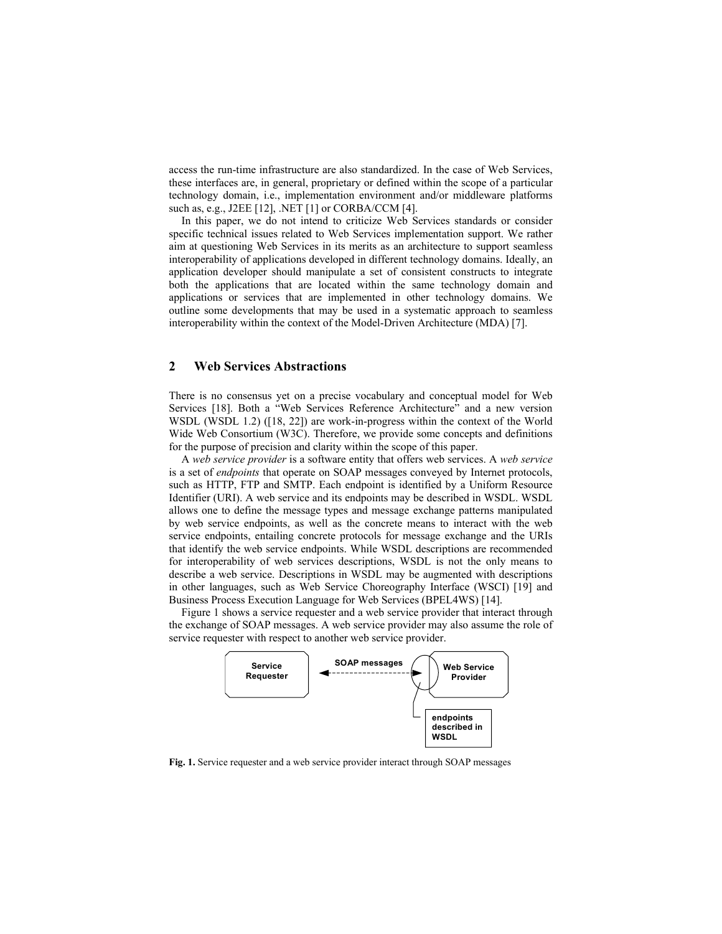access the run-time infrastructure are also standardized. In the case of Web Services, these interfaces are, in general, proprietary or defined within the scope of a particular technology domain, i.e., implementation environment and/or middleware platforms such as, e.g., J2EE [12], .NET [1] or CORBA/CCM [4].

In this paper, we do not intend to criticize Web Services standards or consider specific technical issues related to Web Services implementation support. We rather aim at questioning Web Services in its merits as an architecture to support seamless interoperability of applications developed in different technology domains. Ideally, an application developer should manipulate a set of consistent constructs to integrate both the applications that are located within the same technology domain and applications or services that are implemented in other technology domains. We outline some developments that may be used in a systematic approach to seamless interoperability within the context of the Model-Driven Architecture (MDA) [7].

# **2 Web Services Abstractions**

There is no consensus yet on a precise vocabulary and conceptual model for Web Services [18]. Both a "Web Services Reference Architecture" and a new version WSDL (WSDL 1.2) ([18, 22]) are work-in-progress within the context of the World Wide Web Consortium (W3C). Therefore, we provide some concepts and definitions for the purpose of precision and clarity within the scope of this paper.

A *web service provider* is a software entity that offers web services. A *web service* is a set of *endpoints* that operate on SOAP messages conveyed by Internet protocols, such as HTTP, FTP and SMTP. Each endpoint is identified by a Uniform Resource Identifier (URI). A web service and its endpoints may be described in WSDL. WSDL allows one to define the message types and message exchange patterns manipulated by web service endpoints, as well as the concrete means to interact with the web service endpoints, entailing concrete protocols for message exchange and the URIs that identify the web service endpoints. While WSDL descriptions are recommended for interoperability of web services descriptions, WSDL is not the only means to describe a web service. Descriptions in WSDL may be augmented with descriptions in other languages, such as Web Service Choreography Interface (WSCI) [19] and Business Process Execution Language for Web Services (BPEL4WS) [14].

Figure 1 shows a service requester and a web service provider that interact through the exchange of SOAP messages. A web service provider may also assume the role of service requester with respect to another web service provider.



**Fig. 1.** Service requester and a web service provider interact through SOAP messages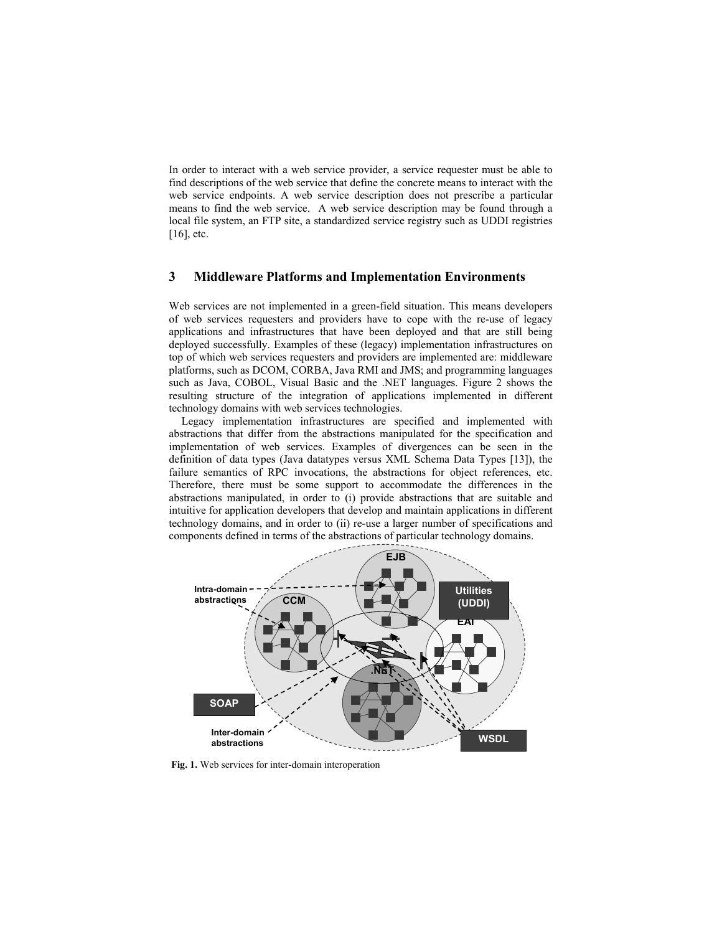In order to interact with a web service provider, a service requester must be able to find descriptions of the web service that define the concrete means to interact with the web service endpoints. A web service description does not prescribe a particular means to find the web service. A web service description may be found through a local file system, an FTP site, a standardized service registry such as UDDI registries [16], etc.

# **3 Middleware Platforms and Implementation Environments**

Web services are not implemented in a green-field situation. This means developers of web services requesters and providers have to cope with the re-use of legacy applications and infrastructures that have been deployed and that are still being deployed successfully. Examples of these (legacy) implementation infrastructures on top of which web services requesters and providers are implemented are: middleware platforms, such as DCOM, CORBA, Java RMI and JMS; and programming languages such as Java, COBOL, Visual Basic and the .NET languages. Figure 2 shows the resulting structure of the integration of applications implemented in different technology domains with web services technologies.

Legacy implementation infrastructures are specified and implemented with abstractions that differ from the abstractions manipulated for the specification and implementation of web services. Examples of divergences can be seen in the definition of data types (Java datatypes versus XML Schema Data Types [13]), the failure semantics of RPC invocations, the abstractions for object references, etc. Therefore, there must be some support to accommodate the differences in the abstractions manipulated, in order to (i) provide abstractions that are suitable and intuitive for application developers that develop and maintain applications in different technology domains, and in order to (ii) re-use a larger number of specifications and components defined in terms of the abstractions of particular technology domains.



**Fig. 1.** Web services for inter-domain interoperation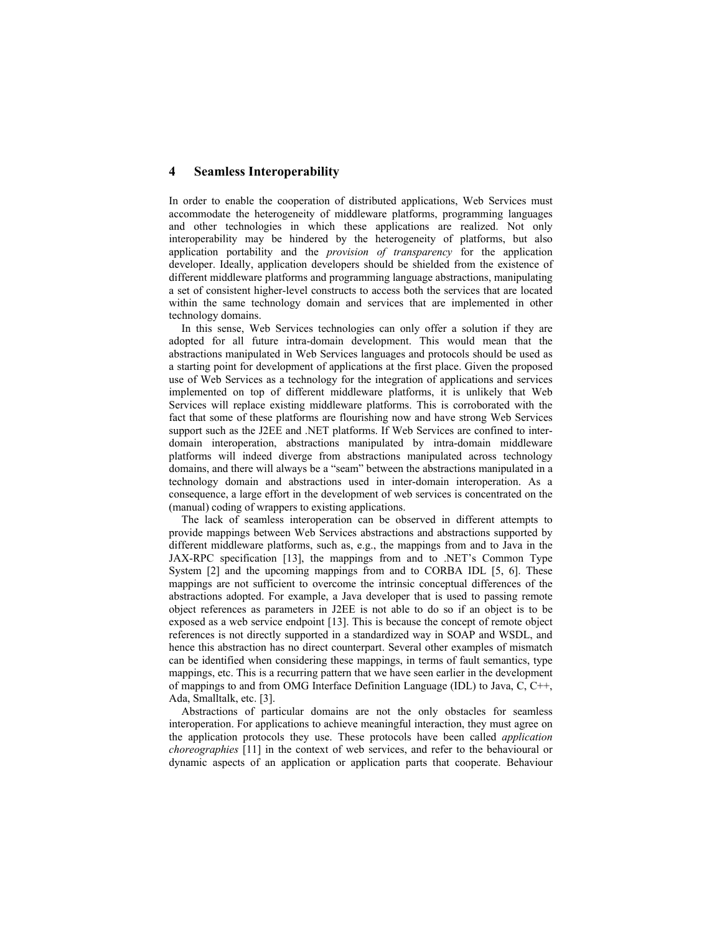#### **4 Seamless Interoperability**

In order to enable the cooperation of distributed applications, Web Services must accommodate the heterogeneity of middleware platforms, programming languages and other technologies in which these applications are realized. Not only interoperability may be hindered by the heterogeneity of platforms, but also application portability and the *provision of transparency* for the application developer. Ideally, application developers should be shielded from the existence of different middleware platforms and programming language abstractions, manipulating a set of consistent higher-level constructs to access both the services that are located within the same technology domain and services that are implemented in other technology domains.

In this sense, Web Services technologies can only offer a solution if they are adopted for all future intra-domain development. This would mean that the abstractions manipulated in Web Services languages and protocols should be used as a starting point for development of applications at the first place. Given the proposed use of Web Services as a technology for the integration of applications and services implemented on top of different middleware platforms, it is unlikely that Web Services will replace existing middleware platforms. This is corroborated with the fact that some of these platforms are flourishing now and have strong Web Services support such as the J2EE and .NET platforms. If Web Services are confined to interdomain interoperation, abstractions manipulated by intra-domain middleware platforms will indeed diverge from abstractions manipulated across technology domains, and there will always be a "seam" between the abstractions manipulated in a technology domain and abstractions used in inter-domain interoperation. As a consequence, a large effort in the development of web services is concentrated on the (manual) coding of wrappers to existing applications.

The lack of seamless interoperation can be observed in different attempts to provide mappings between Web Services abstractions and abstractions supported by different middleware platforms, such as, e.g., the mappings from and to Java in the JAX-RPC specification [13], the mappings from and to .NET's Common Type System [2] and the upcoming mappings from and to CORBA IDL [5, 6]. These mappings are not sufficient to overcome the intrinsic conceptual differences of the abstractions adopted. For example, a Java developer that is used to passing remote object references as parameters in J2EE is not able to do so if an object is to be exposed as a web service endpoint [13]. This is because the concept of remote object references is not directly supported in a standardized way in SOAP and WSDL, and hence this abstraction has no direct counterpart. Several other examples of mismatch can be identified when considering these mappings, in terms of fault semantics, type mappings, etc. This is a recurring pattern that we have seen earlier in the development of mappings to and from OMG Interface Definition Language (IDL) to Java, C, C++, Ada, Smalltalk, etc. [3].

Abstractions of particular domains are not the only obstacles for seamless interoperation. For applications to achieve meaningful interaction, they must agree on the application protocols they use. These protocols have been called *application choreographies* [11] in the context of web services, and refer to the behavioural or dynamic aspects of an application or application parts that cooperate. Behaviour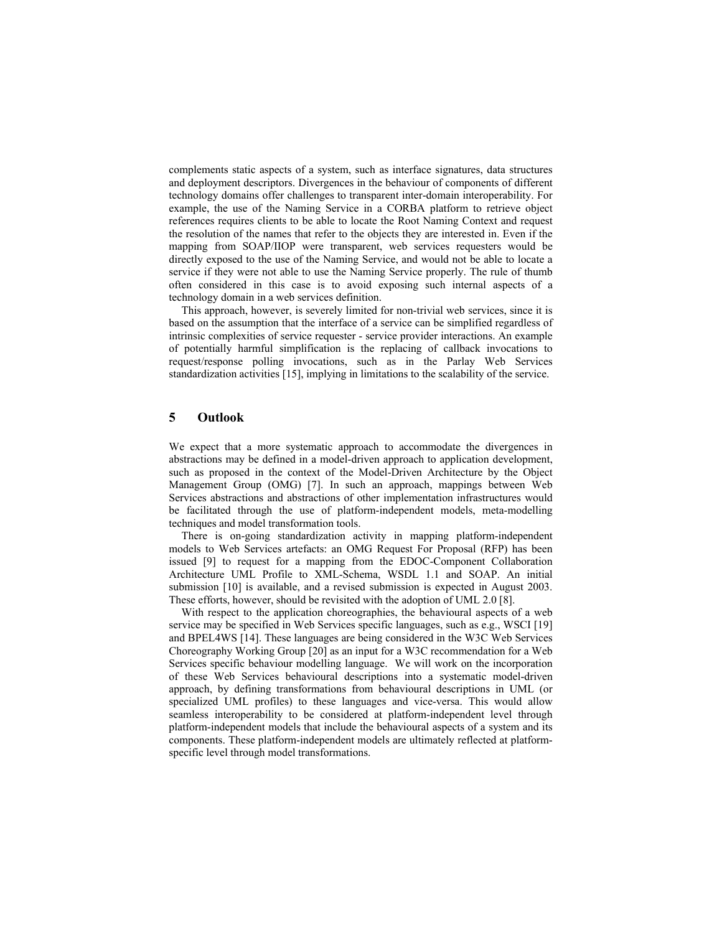complements static aspects of a system, such as interface signatures, data structures and deployment descriptors. Divergences in the behaviour of components of different technology domains offer challenges to transparent inter-domain interoperability. For example, the use of the Naming Service in a CORBA platform to retrieve object references requires clients to be able to locate the Root Naming Context and request the resolution of the names that refer to the objects they are interested in. Even if the mapping from SOAP/IIOP were transparent, web services requesters would be directly exposed to the use of the Naming Service, and would not be able to locate a service if they were not able to use the Naming Service properly. The rule of thumb often considered in this case is to avoid exposing such internal aspects of a technology domain in a web services definition.

This approach, however, is severely limited for non-trivial web services, since it is based on the assumption that the interface of a service can be simplified regardless of intrinsic complexities of service requester - service provider interactions. An example of potentially harmful simplification is the replacing of callback invocations to request/response polling invocations, such as in the Parlay Web Services standardization activities [15], implying in limitations to the scalability of the service.

## **5 Outlook**

We expect that a more systematic approach to accommodate the divergences in abstractions may be defined in a model-driven approach to application development, such as proposed in the context of the Model-Driven Architecture by the Object Management Group (OMG) [7]. In such an approach, mappings between Web Services abstractions and abstractions of other implementation infrastructures would be facilitated through the use of platform-independent models, meta-modelling techniques and model transformation tools.

There is on-going standardization activity in mapping platform-independent models to Web Services artefacts: an OMG Request For Proposal (RFP) has been issued [9] to request for a mapping from the EDOC-Component Collaboration Architecture UML Profile to XML-Schema, WSDL 1.1 and SOAP. An initial submission [10] is available, and a revised submission is expected in August 2003. These efforts, however, should be revisited with the adoption of UML 2.0 [8].

With respect to the application choreographies, the behavioural aspects of a web service may be specified in Web Services specific languages, such as e.g., WSCI [19] and BPEL4WS [14]. These languages are being considered in the W3C Web Services Choreography Working Group [20] as an input for a W3C recommendation for a Web Services specific behaviour modelling language. We will work on the incorporation of these Web Services behavioural descriptions into a systematic model-driven approach, by defining transformations from behavioural descriptions in UML (or specialized UML profiles) to these languages and vice-versa. This would allow seamless interoperability to be considered at platform-independent level through platform-independent models that include the behavioural aspects of a system and its components. These platform-independent models are ultimately reflected at platformspecific level through model transformations.